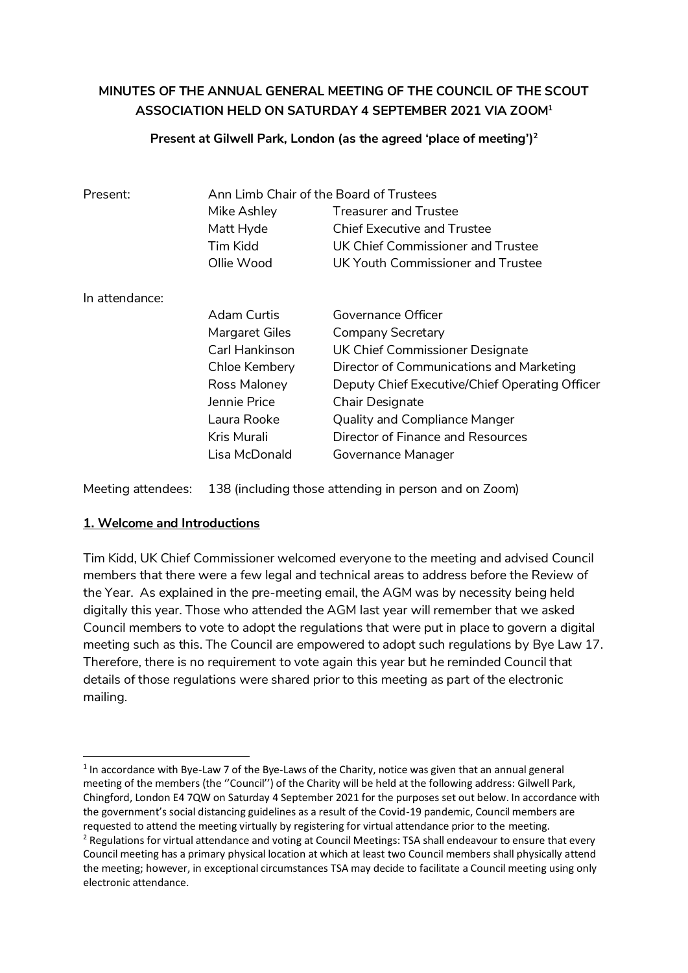# **MINUTES OF THE ANNUAL GENERAL MEETING OF THE COUNCIL OF THE SCOUT ASSOCIATION HELD ON SATURDAY 4 SEPTEMBER 2021 VIA ZOOM<sup>1</sup>**

#### **Present at Gilwell Park, London (as the agreed 'place of meeting')<sup>2</sup>**

| Present:       | Ann Limb Chair of the Board of Trustees |                                                |  |
|----------------|-----------------------------------------|------------------------------------------------|--|
|                | Mike Ashley                             | <b>Treasurer and Trustee</b>                   |  |
|                | Matt Hyde                               | Chief Executive and Trustee                    |  |
|                | Tim Kidd                                | UK Chief Commissioner and Trustee              |  |
|                | Ollie Wood                              | UK Youth Commissioner and Trustee              |  |
| In attendance: |                                         |                                                |  |
|                | Adam Curtis                             | Governance Officer                             |  |
|                | Margaret Giles                          | Company Secretary                              |  |
|                | Carl Hankinson                          | UK Chief Commissioner Designate                |  |
|                | Chloe Kembery                           | Director of Communications and Marketing       |  |
|                | Ross Maloney                            | Deputy Chief Executive/Chief Operating Officer |  |
|                | Jennie Price                            | <b>Chair Designate</b>                         |  |
|                | Laura Rooke                             | <b>Quality and Compliance Manger</b>           |  |
|                | Kris Murali                             | Director of Finance and Resources              |  |
|                | Lisa McDonald                           | Governance Manager                             |  |

Meeting attendees: 138 (including those attending in person and on Zoom)

#### **1. Welcome and Introductions**

Tim Kidd, UK Chief Commissioner welcomed everyone to the meeting and advised Council members that there were a few legal and technical areas to address before the Review of the Year. As explained in the pre-meeting email, the AGM was by necessity being held digitally this year. Those who attended the AGM last year will remember that we asked Council members to vote to adopt the regulations that were put in place to govern a digital meeting such as this. The Council are empowered to adopt such regulations by Bye Law 17. Therefore, there is no requirement to vote again this year but he reminded Council that details of those regulations were shared prior to this meeting as part of the electronic mailing.

 1 In accordance with Bye-Law 7 of the Bye-Laws of the Charity, notice was given that an annual general meeting of the members (the ''Council'') of the Charity will be held at the following address: Gilwell Park, Chingford, London E4 7QW on Saturday 4 September 2021 for the purposes set out below. In accordance with the government's social distancing guidelines as a result of the Covid-19 pandemic, Council members are requested to attend the meeting virtually by registering for virtual attendance prior to the meeting.

<sup>&</sup>lt;sup>2</sup> Regulations for virtual attendance and voting at Council Meetings: TSA shall endeavour to ensure that every Council meeting has a primary physical location at which at least two Council members shall physically attend the meeting; however, in exceptional circumstances TSA may decide to facilitate a Council meeting using only electronic attendance.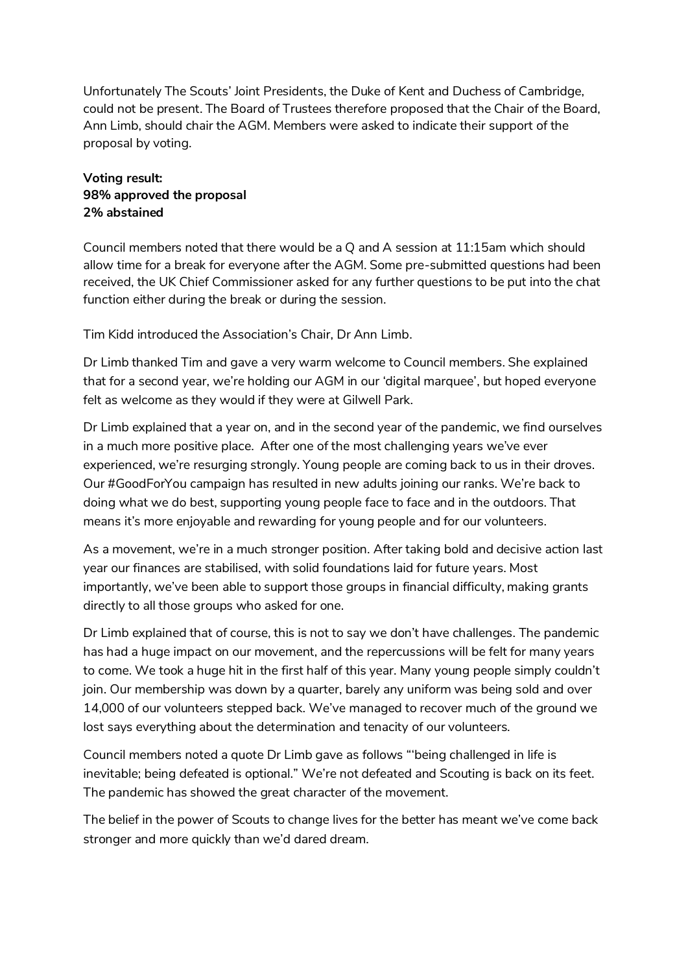Unfortunately The Scouts' Joint Presidents, the Duke of Kent and Duchess of Cambridge, could not be present. The Board of Trustees therefore proposed that the Chair of the Board, Ann Limb, should chair the AGM. Members were asked to indicate their support of the proposal by voting.

### **Voting result: 98% approved the proposal 2% abstained**

Council members noted that there would be a Q and A session at 11:15am which should allow time for a break for everyone after the AGM. Some pre-submitted questions had been received, the UK Chief Commissioner asked for any further questions to be put into the chat function either during the break or during the session.

Tim Kidd introduced the Association's Chair, Dr Ann Limb.

Dr Limb thanked Tim and gave a very warm welcome to Council members. She explained that for a second year, we're holding our AGM in our 'digital marquee', but hoped everyone felt as welcome as they would if they were at Gilwell Park.

Dr Limb explained that a year on, and in the second year of the pandemic, we find ourselves in a much more positive place. After one of the most challenging years we've ever experienced, we're resurging strongly. Young people are coming back to us in their droves. Our #GoodForYou campaign has resulted in new adults joining our ranks. We're back to doing what we do best, supporting young people face to face and in the outdoors. That means it's more enjoyable and rewarding for young people and for our volunteers.

As a movement, we're in a much stronger position. After taking bold and decisive action last year our finances are stabilised, with solid foundations laid for future years. Most importantly, we've been able to support those groups in financial difficulty, making grants directly to all those groups who asked for one.

Dr Limb explained that of course, this is not to say we don't have challenges. The pandemic has had a huge impact on our movement, and the repercussions will be felt for many years to come. We took a huge hit in the first half of this year. Many young people simply couldn't join. Our membership was down by a quarter, barely any uniform was being sold and over 14,000 of our volunteers stepped back. We've managed to recover much of the ground we lost says everything about the determination and tenacity of our volunteers.

Council members noted a quote Dr Limb gave as follows "'being challenged in life is inevitable; being defeated is optional." We're not defeated and Scouting is back on its feet. The pandemic has showed the great character of the movement.

The belief in the power of Scouts to change lives for the better has meant we've come back stronger and more quickly than we'd dared dream.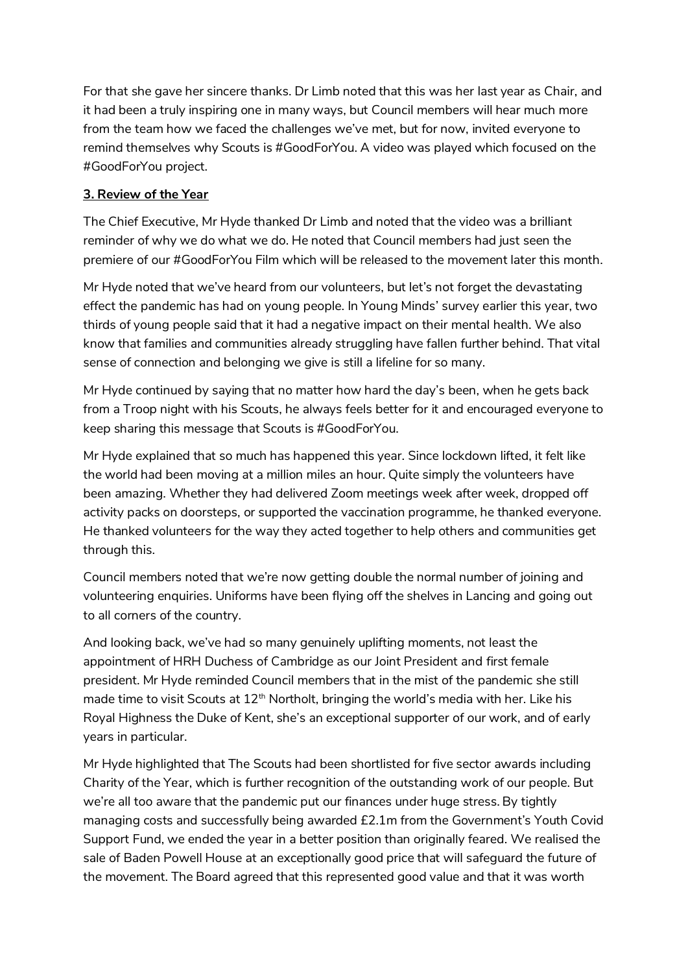For that she gave her sincere thanks. Dr Limb noted that this was her last year as Chair, and it had been a truly inspiring one in many ways, but Council members will hear much more from the team how we faced the challenges we've met, but for now, invited everyone to remind themselves why Scouts is #GoodForYou. A video was played which focused on the #GoodForYou project.

### **3. Review of the Year**

The Chief Executive, Mr Hyde thanked Dr Limb and noted that the video was a brilliant reminder of why we do what we do. He noted that Council members had just seen the premiere of our #GoodForYou Film which will be released to the movement later this month.

Mr Hyde noted that we've heard from our volunteers, but let's not forget the devastating effect the pandemic has had on young people. In Young Minds' survey earlier this year, two thirds of young people said that it had a negative impact on their mental health. We also know that families and communities already struggling have fallen further behind. That vital sense of connection and belonging we give is still a lifeline for so many.

Mr Hyde continued by saying that no matter how hard the day's been, when he gets back from a Troop night with his Scouts, he always feels better for it and encouraged everyone to keep sharing this message that Scouts is #GoodForYou.

Mr Hyde explained that so much has happened this year. Since lockdown lifted, it felt like the world had been moving at a million miles an hour. Quite simply the volunteers have been amazing. Whether they had delivered Zoom meetings week after week, dropped off activity packs on doorsteps, or supported the vaccination programme, he thanked everyone. He thanked volunteers for the way they acted together to help others and communities get through this.

Council members noted that we're now getting double the normal number of joining and volunteering enquiries. Uniforms have been flying off the shelves in Lancing and going out to all corners of the country.

And looking back, we've had so many genuinely uplifting moments, not least the appointment of HRH Duchess of Cambridge as our Joint President and first female president. Mr Hyde reminded Council members that in the mist of the pandemic she still made time to visit Scouts at  $12<sup>th</sup>$  Northolt, bringing the world's media with her. Like his Royal Highness the Duke of Kent, she's an exceptional supporter of our work, and of early years in particular.

Mr Hyde highlighted that The Scouts had been shortlisted for five sector awards including Charity of the Year, which is further recognition of the outstanding work of our people. But we're all too aware that the pandemic put our finances under huge stress. By tightly managing costs and successfully being awarded £2.1m from the Government's Youth Covid Support Fund, we ended the year in a better position than originally feared. We realised the sale of Baden Powell House at an exceptionally good price that will safeguard the future of the movement. The Board agreed that this represented good value and that it was worth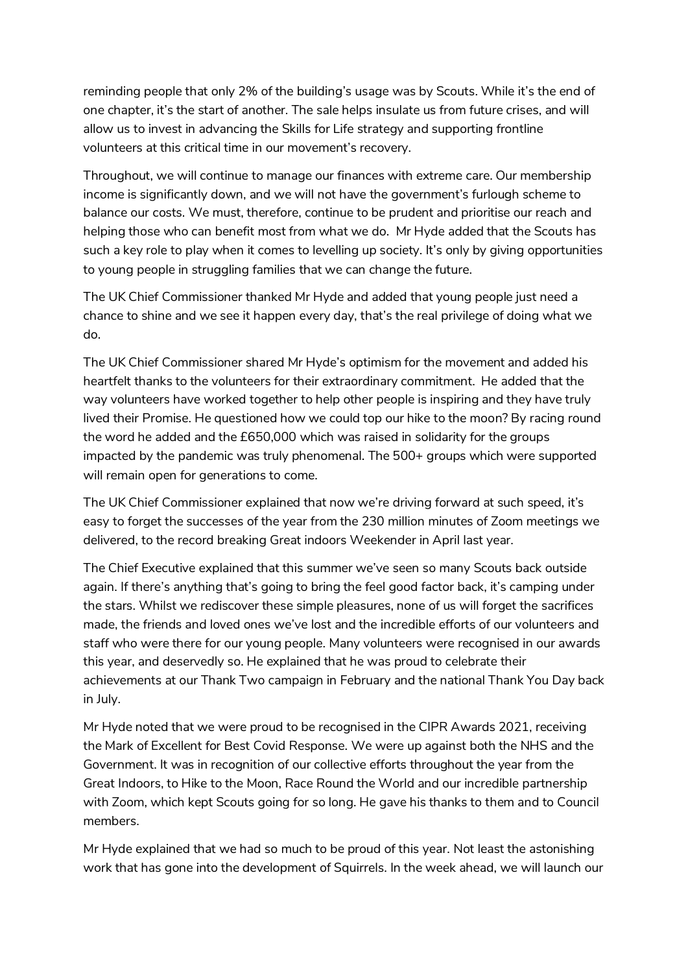reminding people that only 2% of the building's usage was by Scouts. While it's the end of one chapter, it's the start of another. The sale helps insulate us from future crises, and will allow us to invest in advancing the Skills for Life strategy and supporting frontline volunteers at this critical time in our movement's recovery.

Throughout, we will continue to manage our finances with extreme care. Our membership income is significantly down, and we will not have the government's furlough scheme to balance our costs. We must, therefore, continue to be prudent and prioritise our reach and helping those who can benefit most from what we do. Mr Hyde added that the Scouts has such a key role to play when it comes to levelling up society. It's only by giving opportunities to young people in struggling families that we can change the future.

The UK Chief Commissioner thanked Mr Hyde and added that young people just need a chance to shine and we see it happen every day, that's the real privilege of doing what we do.

The UK Chief Commissioner shared Mr Hyde's optimism for the movement and added his heartfelt thanks to the volunteers for their extraordinary commitment. He added that the way volunteers have worked together to help other people is inspiring and they have truly lived their Promise. He questioned how we could top our hike to the moon? By racing round the word he added and the £650,000 which was raised in solidarity for the groups impacted by the pandemic was truly phenomenal. The 500+ groups which were supported will remain open for generations to come.

The UK Chief Commissioner explained that now we're driving forward at such speed, it's easy to forget the successes of the year from the 230 million minutes of Zoom meetings we delivered, to the record breaking Great indoors Weekender in April last year.

The Chief Executive explained that this summer we've seen so many Scouts back outside again. If there's anything that's going to bring the feel good factor back, it's camping under the stars. Whilst we rediscover these simple pleasures, none of us will forget the sacrifices made, the friends and loved ones we've lost and the incredible efforts of our volunteers and staff who were there for our young people. Many volunteers were recognised in our awards this year, and deservedly so. He explained that he was proud to celebrate their achievements at our Thank Two campaign in February and the national Thank You Day back in July.

Mr Hyde noted that we were proud to be recognised in the CIPR Awards 2021, receiving the Mark of Excellent for Best Covid Response. We were up against both the NHS and the Government. It was in recognition of our collective efforts throughout the year from the Great Indoors, to Hike to the Moon, Race Round the World and our incredible partnership with Zoom, which kept Scouts going for so long. He gave his thanks to them and to Council members.

Mr Hyde explained that we had so much to be proud of this year. Not least the astonishing work that has gone into the development of Squirrels. In the week ahead, we will launch our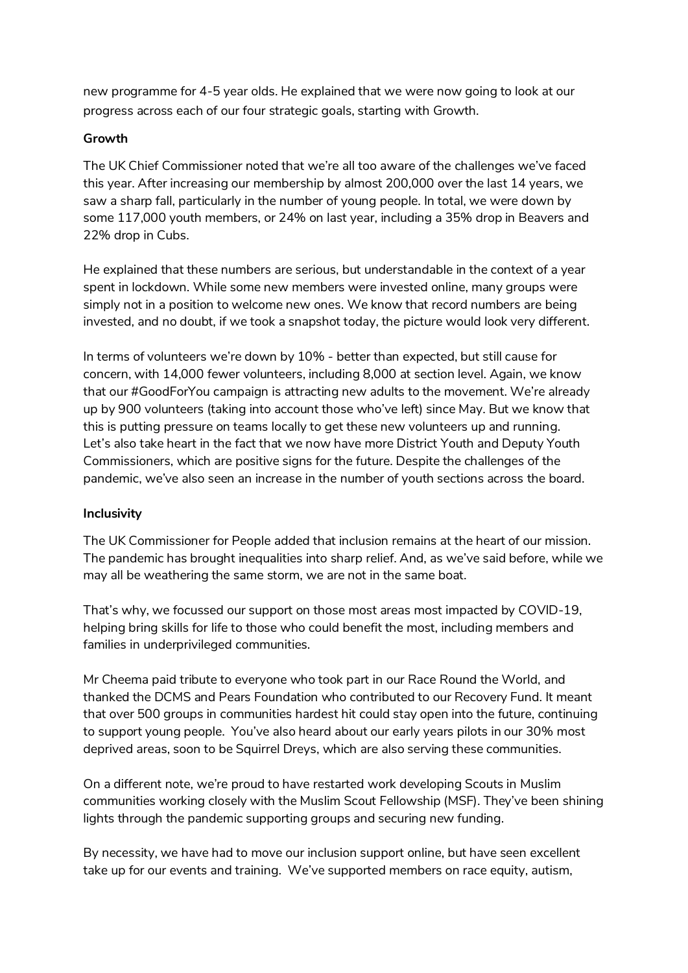new programme for 4-5 year olds. He explained that we were now going to look at our progress across each of our four strategic goals, starting with Growth.

#### **Growth**

The UK Chief Commissioner noted that we're all too aware of the challenges we've faced this year. After increasing our membership by almost 200,000 over the last 14 years, we saw a sharp fall, particularly in the number of young people. In total, we were down by some 117,000 youth members, or 24% on last year, including a 35% drop in Beavers and 22% drop in Cubs.

He explained that these numbers are serious, but understandable in the context of a year spent in lockdown. While some new members were invested online, many groups were simply not in a position to welcome new ones. We know that record numbers are being invested, and no doubt, if we took a snapshot today, the picture would look very different.

In terms of volunteers we're down by 10% - better than expected, but still cause for concern, with 14,000 fewer volunteers, including 8,000 at section level. Again, we know that our #GoodForYou campaign is attracting new adults to the movement. We're already up by 900 volunteers (taking into account those who've left) since May. But we know that this is putting pressure on teams locally to get these new volunteers up and running. Let's also take heart in the fact that we now have more District Youth and Deputy Youth Commissioners, which are positive signs for the future. Despite the challenges of the pandemic, we've also seen an increase in the number of youth sections across the board.

### **Inclusivity**

The UK Commissioner for People added that inclusion remains at the heart of our mission. The pandemic has brought inequalities into sharp relief. And, as we've said before, while we may all be weathering the same storm, we are not in the same boat.

That's why, we focussed our support on those most areas most impacted by COVID-19, helping bring skills for life to those who could benefit the most, including members and families in underprivileged communities.

Mr Cheema paid tribute to everyone who took part in our Race Round the World, and thanked the DCMS and Pears Foundation who contributed to our Recovery Fund. It meant that over 500 groups in communities hardest hit could stay open into the future, continuing to support young people. You've also heard about our early years pilots in our 30% most deprived areas, soon to be Squirrel Dreys, which are also serving these communities.

On a different note, we're proud to have restarted work developing Scouts in Muslim communities working closely with the Muslim Scout Fellowship (MSF). They've been shining lights through the pandemic supporting groups and securing new funding.

By necessity, we have had to move our inclusion support online, but have seen excellent take up for our events and training. We've supported members on race equity, autism,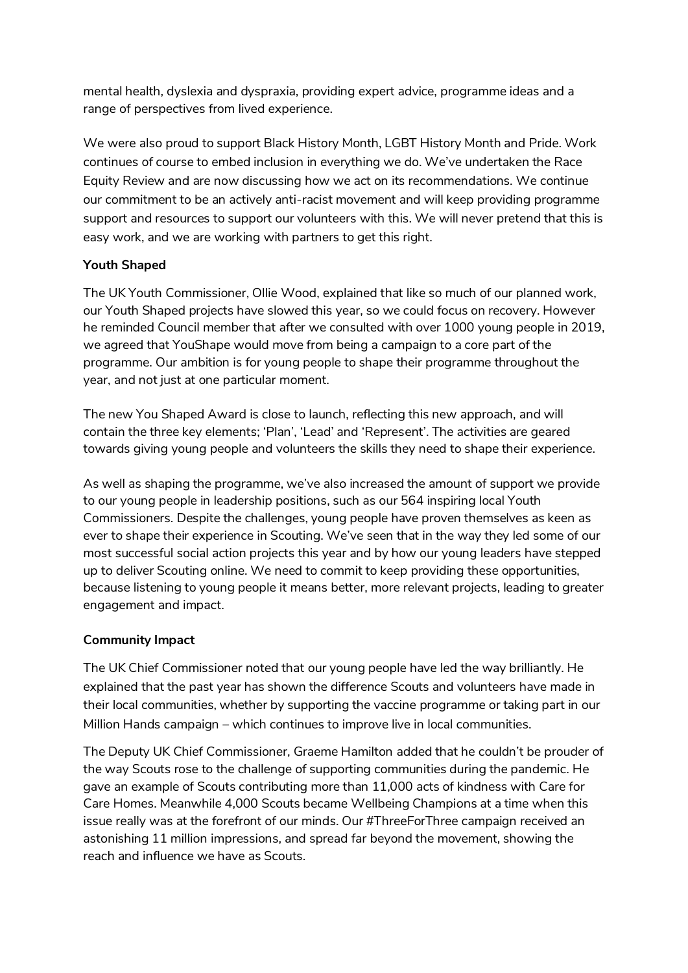mental health, dyslexia and dyspraxia, providing expert advice, programme ideas and a range of perspectives from lived experience.

We were also proud to support Black History Month, LGBT History Month and Pride. Work continues of course to embed inclusion in everything we do. We've undertaken the Race Equity Review and are now discussing how we act on its recommendations. We continue our commitment to be an actively anti-racist movement and will keep providing programme support and resources to support our volunteers with this. We will never pretend that this is easy work, and we are working with partners to get this right.

## **Youth Shaped**

The UK Youth Commissioner, Ollie Wood, explained that like so much of our planned work, our Youth Shaped projects have slowed this year, so we could focus on recovery. However he reminded Council member that after we consulted with over 1000 young people in 2019, we agreed that YouShape would move from being a campaign to a core part of the programme. Our ambition is for young people to shape their programme throughout the year, and not just at one particular moment.

The new You Shaped Award is close to launch, reflecting this new approach, and will contain the three key elements; 'Plan', 'Lead' and 'Represent'. The activities are geared towards giving young people and volunteers the skills they need to shape their experience.

As well as shaping the programme, we've also increased the amount of support we provide to our young people in leadership positions, such as our 564 inspiring local Youth Commissioners. Despite the challenges, young people have proven themselves as keen as ever to shape their experience in Scouting. We've seen that in the way they led some of our most successful social action projects this year and by how our young leaders have stepped up to deliver Scouting online. We need to commit to keep providing these opportunities, because listening to young people it means better, more relevant projects, leading to greater engagement and impact.

### **Community Impact**

The UK Chief Commissioner noted that our young people have led the way brilliantly. He explained that the past year has shown the difference Scouts and volunteers have made in their local communities, whether by supporting the vaccine programme or taking part in our Million Hands campaign – which continues to improve live in local communities.

The Deputy UK Chief Commissioner, Graeme Hamilton added that he couldn't be prouder of the way Scouts rose to the challenge of supporting communities during the pandemic. He gave an example of Scouts contributing more than 11,000 acts of kindness with Care for Care Homes. Meanwhile 4,000 Scouts became Wellbeing Champions at a time when this issue really was at the forefront of our minds. Our #ThreeForThree campaign received an astonishing 11 million impressions, and spread far beyond the movement, showing the reach and influence we have as Scouts.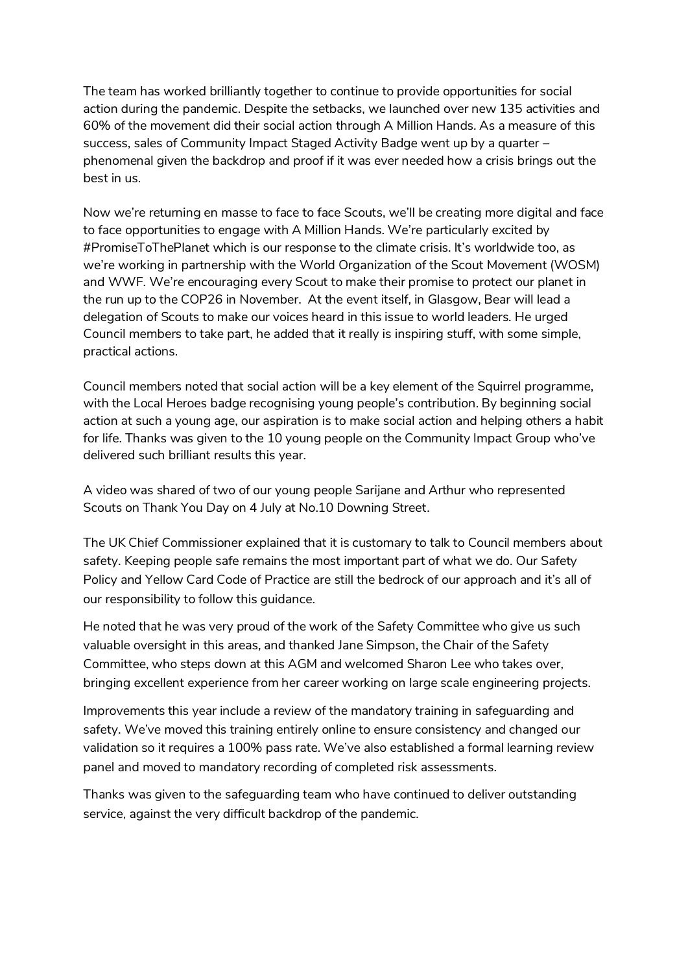The team has worked brilliantly together to continue to provide opportunities for social action during the pandemic. Despite the setbacks, we launched over new 135 activities and 60% of the movement did their social action through A Million Hands. As a measure of this success, sales of Community Impact Staged Activity Badge went up by a quarter – phenomenal given the backdrop and proof if it was ever needed how a crisis brings out the best in us.

Now we're returning en masse to face to face Scouts, we'll be creating more digital and face to face opportunities to engage with A Million Hands. We're particularly excited by #PromiseToThePlanet which is our response to the climate crisis. It's worldwide too, as we're working in partnership with the World Organization of the Scout Movement (WOSM) and WWF. We're encouraging every Scout to make their promise to protect our planet in the run up to the COP26 in November. At the event itself, in Glasgow, Bear will lead a delegation of Scouts to make our voices heard in this issue to world leaders. He urged Council members to take part, he added that it really is inspiring stuff, with some simple, practical actions.

Council members noted that social action will be a key element of the Squirrel programme, with the Local Heroes badge recognising young people's contribution. By beginning social action at such a young age, our aspiration is to make social action and helping others a habit for life. Thanks was given to the 10 young people on the Community Impact Group who've delivered such brilliant results this year.

A video was shared of two of our young people Sarijane and Arthur who represented Scouts on Thank You Day on 4 July at No.10 Downing Street.

The UK Chief Commissioner explained that it is customary to talk to Council members about safety. Keeping people safe remains the most important part of what we do. Our Safety Policy and Yellow Card Code of Practice are still the bedrock of our approach and it's all of our responsibility to follow this guidance.

He noted that he was very proud of the work of the Safety Committee who give us such valuable oversight in this areas, and thanked Jane Simpson, the Chair of the Safety Committee, who steps down at this AGM and welcomed Sharon Lee who takes over, bringing excellent experience from her career working on large scale engineering projects.

Improvements this year include a review of the mandatory training in safeguarding and safety. We've moved this training entirely online to ensure consistency and changed our validation so it requires a 100% pass rate. We've also established a formal learning review panel and moved to mandatory recording of completed risk assessments.

Thanks was given to the safeguarding team who have continued to deliver outstanding service, against the very difficult backdrop of the pandemic.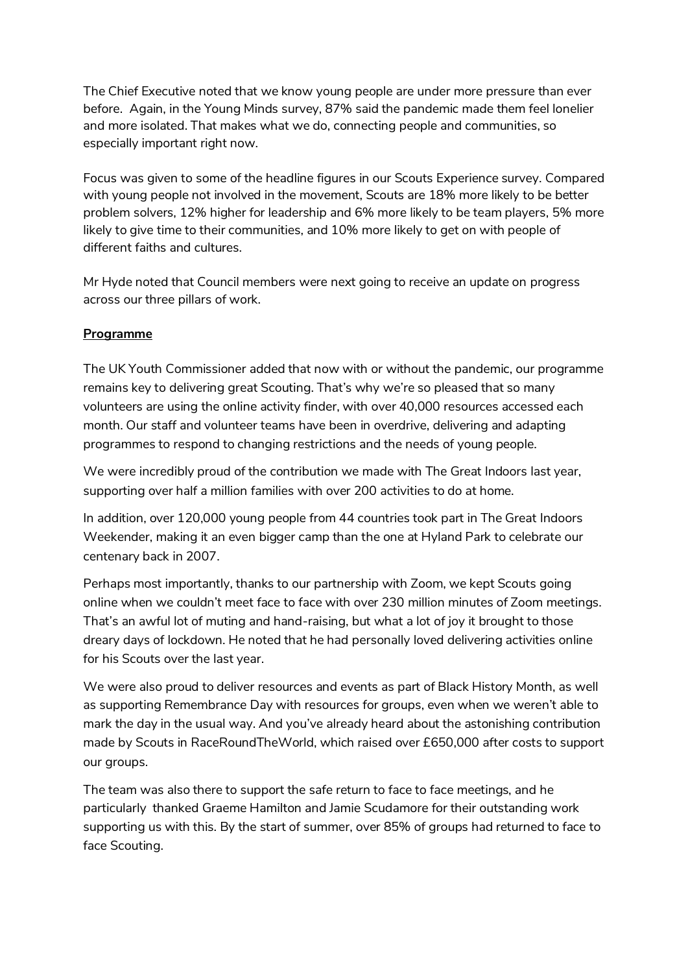The Chief Executive noted that we know young people are under more pressure than ever before. Again, in the Young Minds survey, 87% said the pandemic made them feel lonelier and more isolated. That makes what we do, connecting people and communities, so especially important right now.

Focus was given to some of the headline figures in our Scouts Experience survey. Compared with young people not involved in the movement, Scouts are 18% more likely to be better problem solvers, 12% higher for leadership and 6% more likely to be team players, 5% more likely to give time to their communities, and 10% more likely to get on with people of different faiths and cultures.

Mr Hyde noted that Council members were next going to receive an update on progress across our three pillars of work.

## **Programme**

The UK Youth Commissioner added that now with or without the pandemic, our programme remains key to delivering great Scouting. That's why we're so pleased that so many volunteers are using the online activity finder, with over 40,000 resources accessed each month. Our staff and volunteer teams have been in overdrive, delivering and adapting programmes to respond to changing restrictions and the needs of young people.

We were incredibly proud of the contribution we made with The Great Indoors last year, supporting over half a million families with over 200 activities to do at home.

In addition, over 120,000 young people from 44 countries took part in The Great Indoors Weekender, making it an even bigger camp than the one at Hyland Park to celebrate our centenary back in 2007.

Perhaps most importantly, thanks to our partnership with Zoom, we kept Scouts going online when we couldn't meet face to face with over 230 million minutes of Zoom meetings. That's an awful lot of muting and hand-raising, but what a lot of joy it brought to those dreary days of lockdown. He noted that he had personally loved delivering activities online for his Scouts over the last year.

We were also proud to deliver resources and events as part of Black History Month, as well as supporting Remembrance Day with resources for groups, even when we weren't able to mark the day in the usual way. And you've already heard about the astonishing contribution made by Scouts in RaceRoundTheWorld, which raised over £650,000 after costs to support our groups.

The team was also there to support the safe return to face to face meetings, and he particularly thanked Graeme Hamilton and Jamie Scudamore for their outstanding work supporting us with this. By the start of summer, over 85% of groups had returned to face to face Scouting.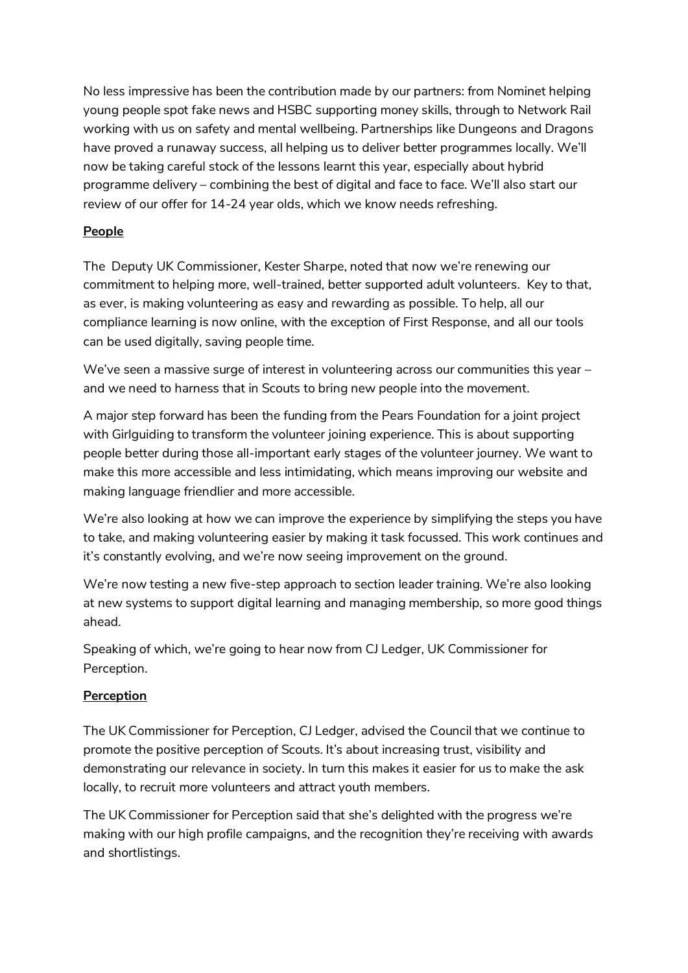No less impressive has been the contribution made by our partners: from Nominet helping young people spot fake news and HSBC supporting money skills, through to Network Rail working with us on safety and mental wellbeing. Partnerships like Dungeons and Dragons have proved a runaway success, all helping us to deliver better programmes locally. We'll now be taking careful stock of the lessons learnt this year, especially about hybrid programme delivery – combining the best of digital and face to face. We'll also start our review of our offer for 14-24 year olds, which we know needs refreshing.

## **People**

The Deputy UK Commissioner, Kester Sharpe, noted that now we're renewing our commitment to helping more, well-trained, better supported adult volunteers. Key to that, as ever, is making volunteering as easy and rewarding as possible. To help, all our compliance learning is now online, with the exception of First Response, and all our tools can be used digitally, saving people time.

We've seen a massive surge of interest in volunteering across our communities this year – and we need to harness that in Scouts to bring new people into the movement.

A major step forward has been the funding from the Pears Foundation for a joint project with Girlguiding to transform the volunteer joining experience. This is about supporting people better during those all-important early stages of the volunteer journey. We want to make this more accessible and less intimidating, which means improving our website and making language friendlier and more accessible.

We're also looking at how we can improve the experience by simplifying the steps you have to take, and making volunteering easier by making it task focussed. This work continues and it's constantly evolving, and we're now seeing improvement on the ground.

We're now testing a new five-step approach to section leader training. We're also looking at new systems to support digital learning and managing membership, so more good things ahead.

Speaking of which, we're going to hear now from CJ Ledger, UK Commissioner for Perception.

# **Perception**

The UK Commissioner for Perception, CJ Ledger, advised the Council that we continue to promote the positive perception of Scouts. It's about increasing trust, visibility and demonstrating our relevance in society. In turn this makes it easier for us to make the ask locally, to recruit more volunteers and attract youth members.

The UK Commissioner for Perception said that she's delighted with the progress we're making with our high profile campaigns, and the recognition they're receiving with awards and shortlistings.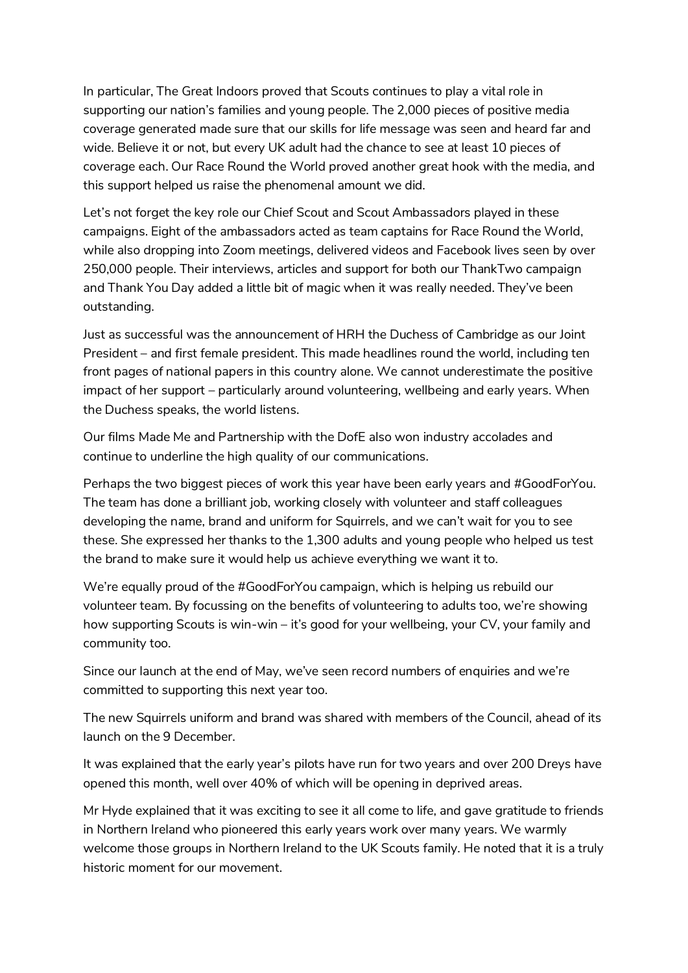In particular, The Great Indoors proved that Scouts continues to play a vital role in supporting our nation's families and young people. The 2,000 pieces of positive media coverage generated made sure that our skills for life message was seen and heard far and wide. Believe it or not, but every UK adult had the chance to see at least 10 pieces of coverage each. Our Race Round the World proved another great hook with the media, and this support helped us raise the phenomenal amount we did.

Let's not forget the key role our Chief Scout and Scout Ambassadors played in these campaigns. Eight of the ambassadors acted as team captains for Race Round the World, while also dropping into Zoom meetings, delivered videos and Facebook lives seen by over 250,000 people. Their interviews, articles and support for both our ThankTwo campaign and Thank You Day added a little bit of magic when it was really needed. They've been outstanding.

Just as successful was the announcement of HRH the Duchess of Cambridge as our Joint President – and first female president. This made headlines round the world, including ten front pages of national papers in this country alone. We cannot underestimate the positive impact of her support – particularly around volunteering, wellbeing and early years. When the Duchess speaks, the world listens.

Our films Made Me and Partnership with the DofE also won industry accolades and continue to underline the high quality of our communications.

Perhaps the two biggest pieces of work this year have been early years and #GoodForYou. The team has done a brilliant job, working closely with volunteer and staff colleagues developing the name, brand and uniform for Squirrels, and we can't wait for you to see these. She expressed her thanks to the 1,300 adults and young people who helped us test the brand to make sure it would help us achieve everything we want it to.

We're equally proud of the #GoodForYou campaign, which is helping us rebuild our volunteer team. By focussing on the benefits of volunteering to adults too, we're showing how supporting Scouts is win-win – it's good for your wellbeing, your CV, your family and community too.

Since our launch at the end of May, we've seen record numbers of enquiries and we're committed to supporting this next year too.

The new Squirrels uniform and brand was shared with members of the Council, ahead of its launch on the 9 December.

It was explained that the early year's pilots have run for two years and over 200 Dreys have opened this month, well over 40% of which will be opening in deprived areas.

Mr Hyde explained that it was exciting to see it all come to life, and gave gratitude to friends in Northern Ireland who pioneered this early years work over many years. We warmly welcome those groups in Northern Ireland to the UK Scouts family. He noted that it is a truly historic moment for our movement.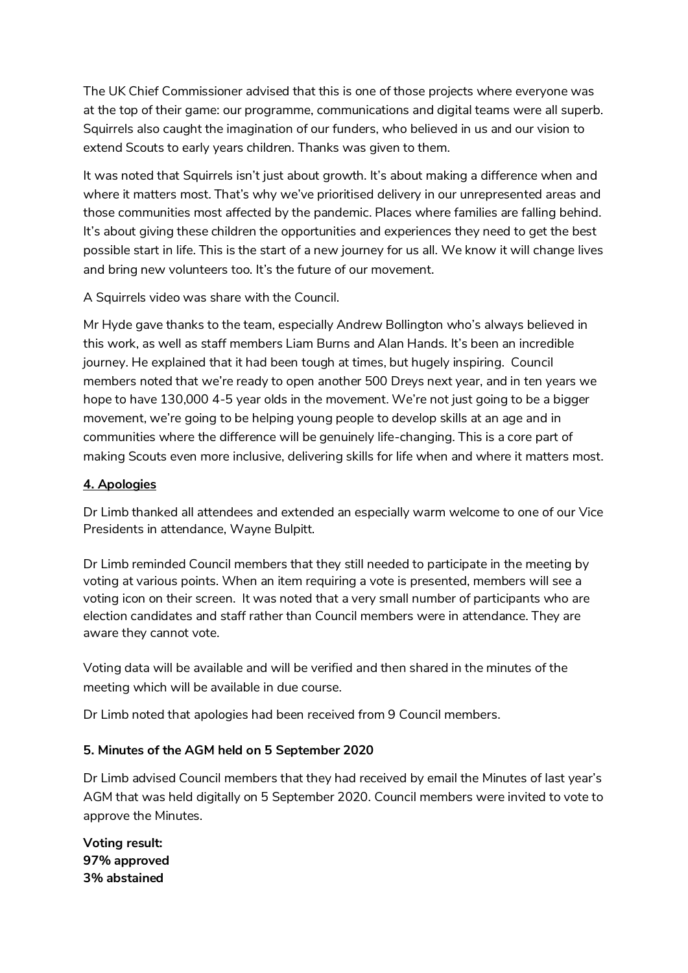The UK Chief Commissioner advised that this is one of those projects where everyone was at the top of their game: our programme, communications and digital teams were all superb. Squirrels also caught the imagination of our funders, who believed in us and our vision to extend Scouts to early years children. Thanks was given to them.

It was noted that Squirrels isn't just about growth. It's about making a difference when and where it matters most. That's why we've prioritised delivery in our unrepresented areas and those communities most affected by the pandemic. Places where families are falling behind. It's about giving these children the opportunities and experiences they need to get the best possible start in life. This is the start of a new journey for us all. We know it will change lives and bring new volunteers too. It's the future of our movement.

A Squirrels video was share with the Council.

Mr Hyde gave thanks to the team, especially Andrew Bollington who's always believed in this work, as well as staff members Liam Burns and Alan Hands. It's been an incredible journey. He explained that it had been tough at times, but hugely inspiring. Council members noted that we're ready to open another 500 Dreys next year, and in ten years we hope to have 130,000 4-5 year olds in the movement. We're not just going to be a bigger movement, we're going to be helping young people to develop skills at an age and in communities where the difference will be genuinely life-changing. This is a core part of making Scouts even more inclusive, delivering skills for life when and where it matters most.

### **4. Apologies**

Dr Limb thanked all attendees and extended an especially warm welcome to one of our Vice Presidents in attendance, Wayne Bulpitt.

Dr Limb reminded Council members that they still needed to participate in the meeting by voting at various points. When an item requiring a vote is presented, members will see a voting icon on their screen. It was noted that a very small number of participants who are election candidates and staff rather than Council members were in attendance. They are aware they cannot vote.

Voting data will be available and will be verified and then shared in the minutes of the meeting which will be available in due course.

Dr Limb noted that apologies had been received from 9 Council members.

#### **5. Minutes of the AGM held on 5 September 2020**

Dr Limb advised Council members that they had received by email the Minutes of last year's AGM that was held digitally on 5 September 2020. Council members were invited to vote to approve the Minutes.

**Voting result: 97% approved 3% abstained**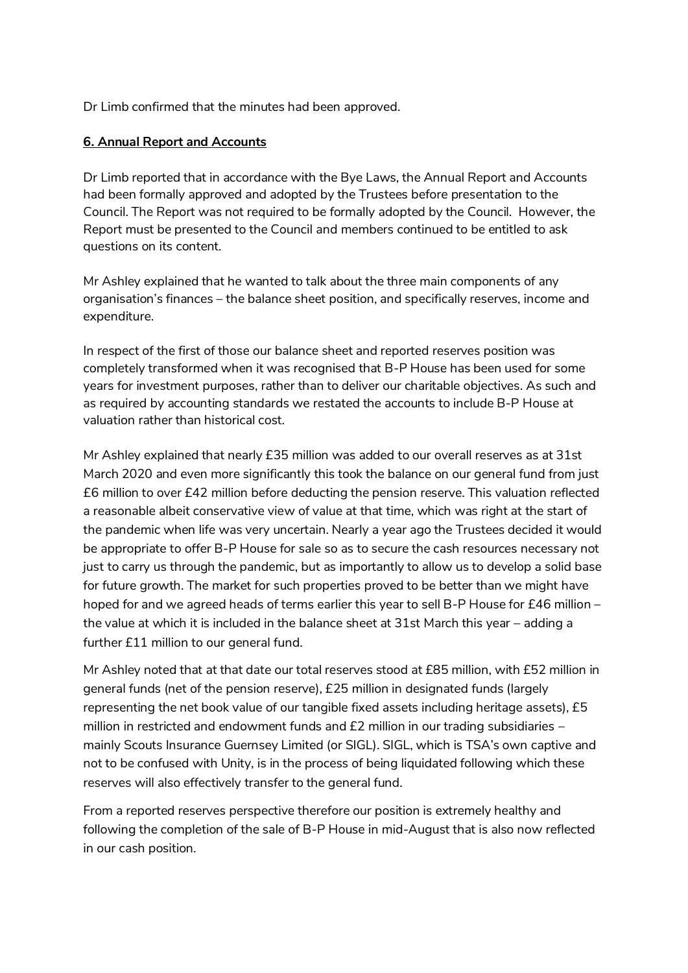Dr Limb confirmed that the minutes had been approved.

#### **6. Annual Report and Accounts**

Dr Limb reported that in accordance with the Bye Laws, the Annual Report and Accounts had been formally approved and adopted by the Trustees before presentation to the Council. The Report was not required to be formally adopted by the Council. However, the Report must be presented to the Council and members continued to be entitled to ask questions on its content.

Mr Ashley explained that he wanted to talk about the three main components of any organisation's finances – the balance sheet position, and specifically reserves, income and expenditure.

In respect of the first of those our balance sheet and reported reserves position was completely transformed when it was recognised that B-P House has been used for some years for investment purposes, rather than to deliver our charitable objectives. As such and as required by accounting standards we restated the accounts to include B-P House at valuation rather than historical cost.

Mr Ashley explained that nearly £35 million was added to our overall reserves as at 31st March 2020 and even more significantly this took the balance on our general fund from just £6 million to over £42 million before deducting the pension reserve. This valuation reflected a reasonable albeit conservative view of value at that time, which was right at the start of the pandemic when life was very uncertain. Nearly a year ago the Trustees decided it would be appropriate to offer B-P House for sale so as to secure the cash resources necessary not just to carry us through the pandemic, but as importantly to allow us to develop a solid base for future growth. The market for such properties proved to be better than we might have hoped for and we agreed heads of terms earlier this year to sell B-P House for £46 million – the value at which it is included in the balance sheet at 31st March this year – adding a further £11 million to our general fund.

Mr Ashley noted that at that date our total reserves stood at £85 million, with £52 million in general funds (net of the pension reserve), £25 million in designated funds (largely representing the net book value of our tangible fixed assets including heritage assets), £5 million in restricted and endowment funds and £2 million in our trading subsidiaries mainly Scouts Insurance Guernsey Limited (or SIGL). SIGL, which is TSA's own captive and not to be confused with Unity, is in the process of being liquidated following which these reserves will also effectively transfer to the general fund.

From a reported reserves perspective therefore our position is extremely healthy and following the completion of the sale of B-P House in mid-August that is also now reflected in our cash position.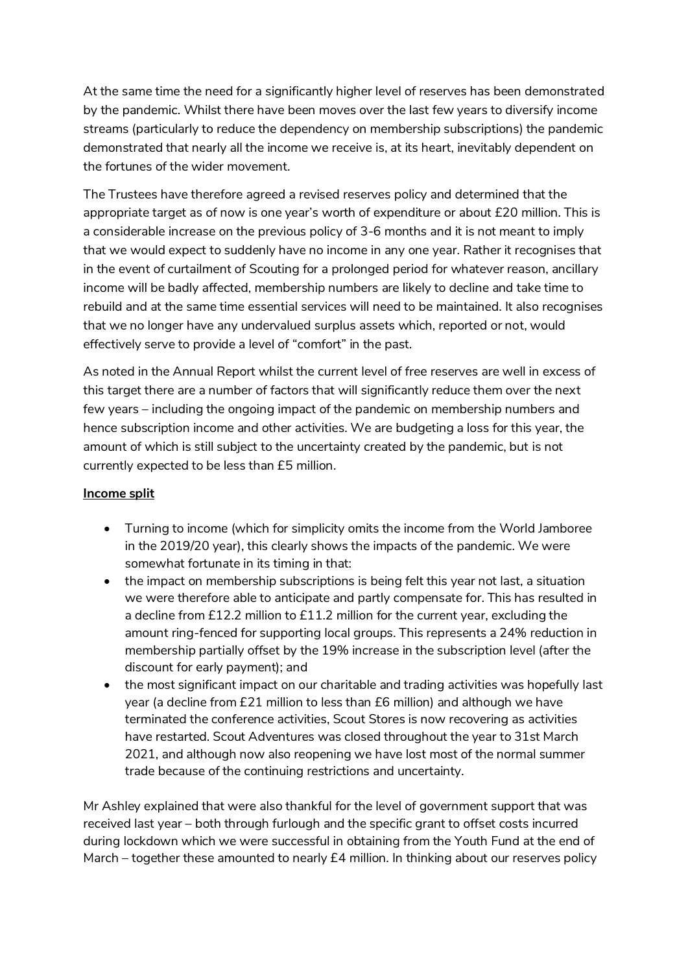At the same time the need for a significantly higher level of reserves has been demonstrated by the pandemic. Whilst there have been moves over the last few years to diversify income streams (particularly to reduce the dependency on membership subscriptions) the pandemic demonstrated that nearly all the income we receive is, at its heart, inevitably dependent on the fortunes of the wider movement.

The Trustees have therefore agreed a revised reserves policy and determined that the appropriate target as of now is one year's worth of expenditure or about £20 million. This is a considerable increase on the previous policy of 3-6 months and it is not meant to imply that we would expect to suddenly have no income in any one year. Rather it recognises that in the event of curtailment of Scouting for a prolonged period for whatever reason, ancillary income will be badly affected, membership numbers are likely to decline and take time to rebuild and at the same time essential services will need to be maintained. It also recognises that we no longer have any undervalued surplus assets which, reported or not, would effectively serve to provide a level of "comfort" in the past.

As noted in the Annual Report whilst the current level of free reserves are well in excess of this target there are a number of factors that will significantly reduce them over the next few years – including the ongoing impact of the pandemic on membership numbers and hence subscription income and other activities. We are budgeting a loss for this year, the amount of which is still subject to the uncertainty created by the pandemic, but is not currently expected to be less than £5 million.

#### **Income split**

- Turning to income (which for simplicity omits the income from the World Jamboree in the 2019/20 year), this clearly shows the impacts of the pandemic. We were somewhat fortunate in its timing in that:
- the impact on membership subscriptions is being felt this year not last, a situation we were therefore able to anticipate and partly compensate for. This has resulted in a decline from £12.2 million to £11.2 million for the current year, excluding the amount ring-fenced for supporting local groups. This represents a 24% reduction in membership partially offset by the 19% increase in the subscription level (after the discount for early payment); and
- the most significant impact on our charitable and trading activities was hopefully last year (a decline from £21 million to less than £6 million) and although we have terminated the conference activities, Scout Stores is now recovering as activities have restarted. Scout Adventures was closed throughout the year to 31st March 2021, and although now also reopening we have lost most of the normal summer trade because of the continuing restrictions and uncertainty.

Mr Ashley explained that were also thankful for the level of government support that was received last year – both through furlough and the specific grant to offset costs incurred during lockdown which we were successful in obtaining from the Youth Fund at the end of March – together these amounted to nearly £4 million. In thinking about our reserves policy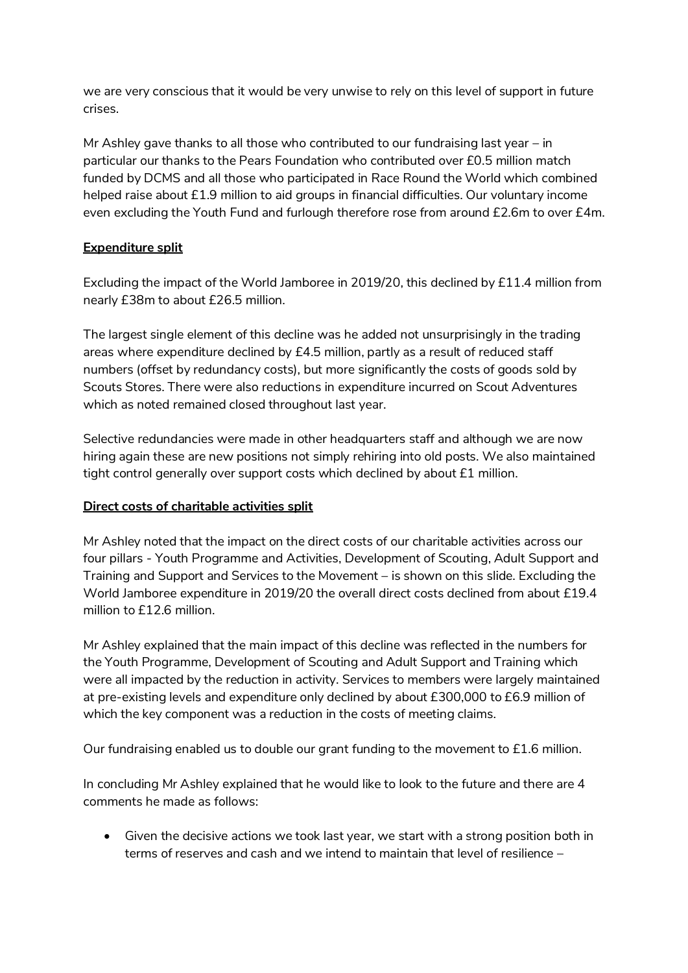we are very conscious that it would be very unwise to rely on this level of support in future crises.

Mr Ashley gave thanks to all those who contributed to our fundraising last year – in particular our thanks to the Pears Foundation who contributed over £0.5 million match funded by DCMS and all those who participated in Race Round the World which combined helped raise about £1.9 million to aid groups in financial difficulties. Our voluntary income even excluding the Youth Fund and furlough therefore rose from around £2.6m to over £4m.

## **Expenditure split**

Excluding the impact of the World Jamboree in 2019/20, this declined by £11.4 million from nearly £38m to about £26.5 million.

The largest single element of this decline was he added not unsurprisingly in the trading areas where expenditure declined by £4.5 million, partly as a result of reduced staff numbers (offset by redundancy costs), but more significantly the costs of goods sold by Scouts Stores. There were also reductions in expenditure incurred on Scout Adventures which as noted remained closed throughout last year.

Selective redundancies were made in other headquarters staff and although we are now hiring again these are new positions not simply rehiring into old posts. We also maintained tight control generally over support costs which declined by about £1 million.

# **Direct costs of charitable activities split**

Mr Ashley noted that the impact on the direct costs of our charitable activities across our four pillars - Youth Programme and Activities, Development of Scouting, Adult Support and Training and Support and Services to the Movement – is shown on this slide. Excluding the World Jamboree expenditure in 2019/20 the overall direct costs declined from about £19.4 million to £12.6 million.

Mr Ashley explained that the main impact of this decline was reflected in the numbers for the Youth Programme, Development of Scouting and Adult Support and Training which were all impacted by the reduction in activity. Services to members were largely maintained at pre-existing levels and expenditure only declined by about £300,000 to £6.9 million of which the key component was a reduction in the costs of meeting claims.

Our fundraising enabled us to double our grant funding to the movement to £1.6 million.

In concluding Mr Ashley explained that he would like to look to the future and there are 4 comments he made as follows:

 Given the decisive actions we took last year, we start with a strong position both in terms of reserves and cash and we intend to maintain that level of resilience –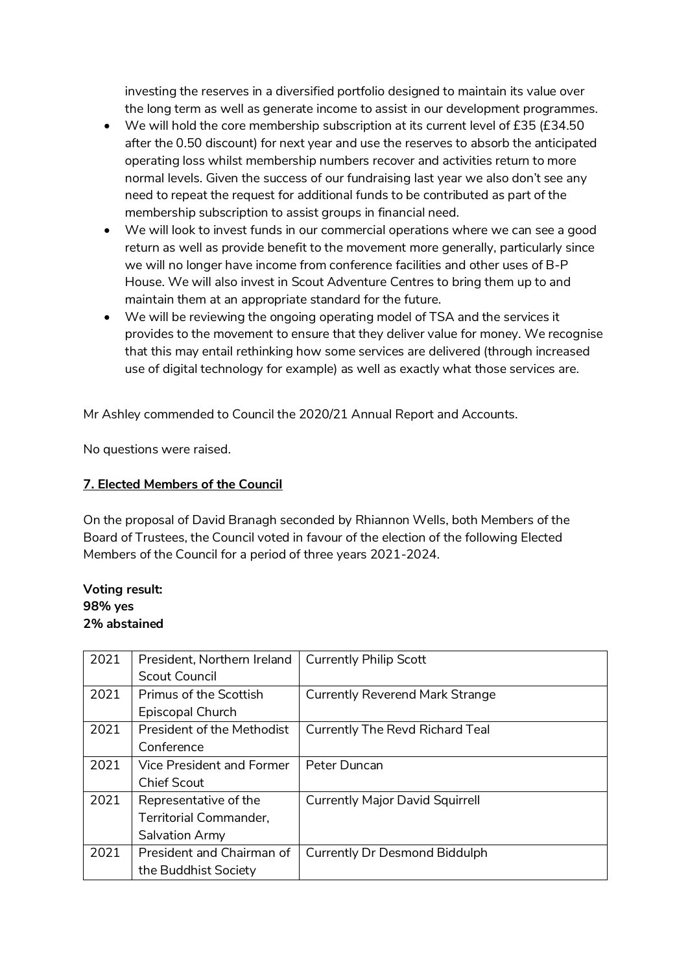investing the reserves in a diversified portfolio designed to maintain its value over the long term as well as generate income to assist in our development programmes.

- We will hold the core membership subscription at its current level of £35 (£34.50 after the 0.50 discount) for next year and use the reserves to absorb the anticipated operating loss whilst membership numbers recover and activities return to more normal levels. Given the success of our fundraising last year we also don't see any need to repeat the request for additional funds to be contributed as part of the membership subscription to assist groups in financial need.
- We will look to invest funds in our commercial operations where we can see a good return as well as provide benefit to the movement more generally, particularly since we will no longer have income from conference facilities and other uses of B-P House. We will also invest in Scout Adventure Centres to bring them up to and maintain them at an appropriate standard for the future.
- We will be reviewing the ongoing operating model of TSA and the services it provides to the movement to ensure that they deliver value for money. We recognise that this may entail rethinking how some services are delivered (through increased use of digital technology for example) as well as exactly what those services are.

Mr Ashley commended to Council the 2020/21 Annual Report and Accounts.

No questions were raised.

## **7. Elected Members of the Council**

On the proposal of David Branagh seconded by Rhiannon Wells, both Members of the Board of Trustees, the Council voted in favour of the election of the following Elected Members of the Council for a period of three years 2021-2024.

## **Voting result: 98% yes 2% abstained**

| 2021 | President, Northern Ireland       | <b>Currently Philip Scott</b>          |
|------|-----------------------------------|----------------------------------------|
|      | Scout Council                     |                                        |
| 2021 | <b>Primus of the Scottish</b>     | <b>Currently Reverend Mark Strange</b> |
|      | Episcopal Church                  |                                        |
| 2021 | <b>President of the Methodist</b> | <b>Currently The Revd Richard Teal</b> |
|      | Conference                        |                                        |
| 2021 | Vice President and Former         | Peter Duncan                           |
|      | Chief Scout                       |                                        |
| 2021 | Representative of the             | <b>Currently Major David Squirrell</b> |
|      | Territorial Commander,            |                                        |
|      | Salvation Army                    |                                        |
| 2021 | President and Chairman of         | Currently Dr Desmond Biddulph          |
|      | the Buddhist Society              |                                        |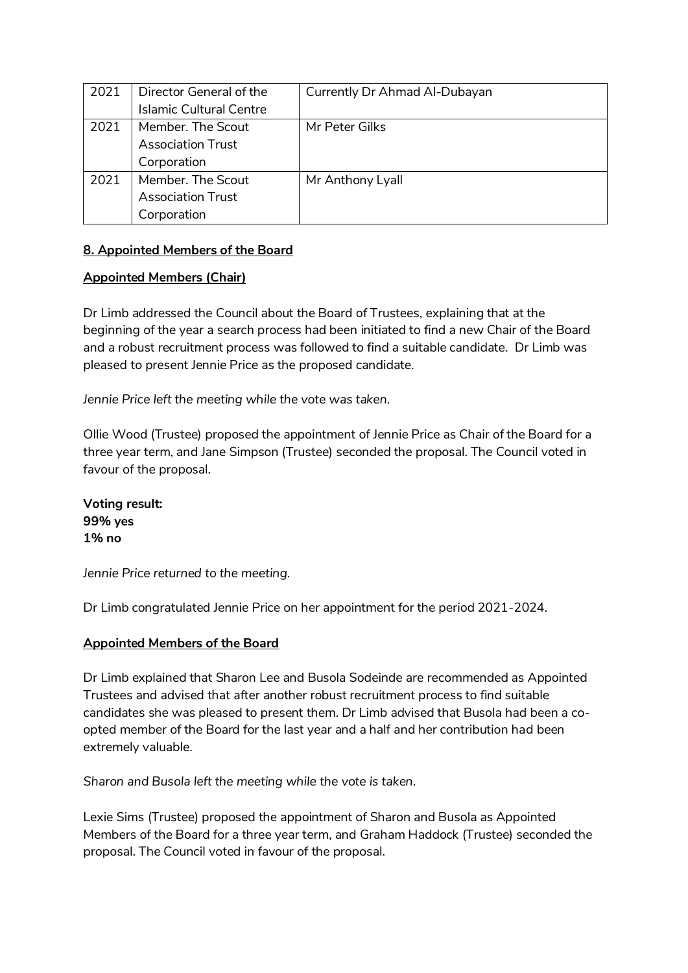| 2021 | Director General of the        | Currently Dr Ahmad Al-Dubayan |
|------|--------------------------------|-------------------------------|
|      | <b>Islamic Cultural Centre</b> |                               |
| 2021 | Member. The Scout              | Mr Peter Gilks                |
|      | <b>Association Trust</b>       |                               |
|      | Corporation                    |                               |
| 2021 | Member. The Scout              | Mr Anthony Lyall              |
|      | <b>Association Trust</b>       |                               |
|      | Corporation                    |                               |

### **8. Appointed Members of the Board**

#### **Appointed Members (Chair)**

Dr Limb addressed the Council about the Board of Trustees, explaining that at the beginning of the year a search process had been initiated to find a new Chair of the Board and a robust recruitment process was followed to find a suitable candidate. Dr Limb was pleased to present Jennie Price as the proposed candidate.

*Jennie Price left the meeting while the vote was taken.* 

Ollie Wood (Trustee) proposed the appointment of Jennie Price as Chair of the Board for a three year term, and Jane Simpson (Trustee) seconded the proposal. The Council voted in favour of the proposal.

**Voting result: 99% yes 1% no**

*Jennie Price returned to the meeting.*

Dr Limb congratulated Jennie Price on her appointment for the period 2021-2024.

### **Appointed Members of the Board**

Dr Limb explained that Sharon Lee and Busola Sodeinde are recommended as Appointed Trustees and advised that after another robust recruitment process to find suitable candidates she was pleased to present them. Dr Limb advised that Busola had been a coopted member of the Board for the last year and a half and her contribution had been extremely valuable.

*Sharon and Busola left the meeting while the vote is taken.* 

Lexie Sims (Trustee) proposed the appointment of Sharon and Busola as Appointed Members of the Board for a three year term, and Graham Haddock (Trustee) seconded the proposal. The Council voted in favour of the proposal.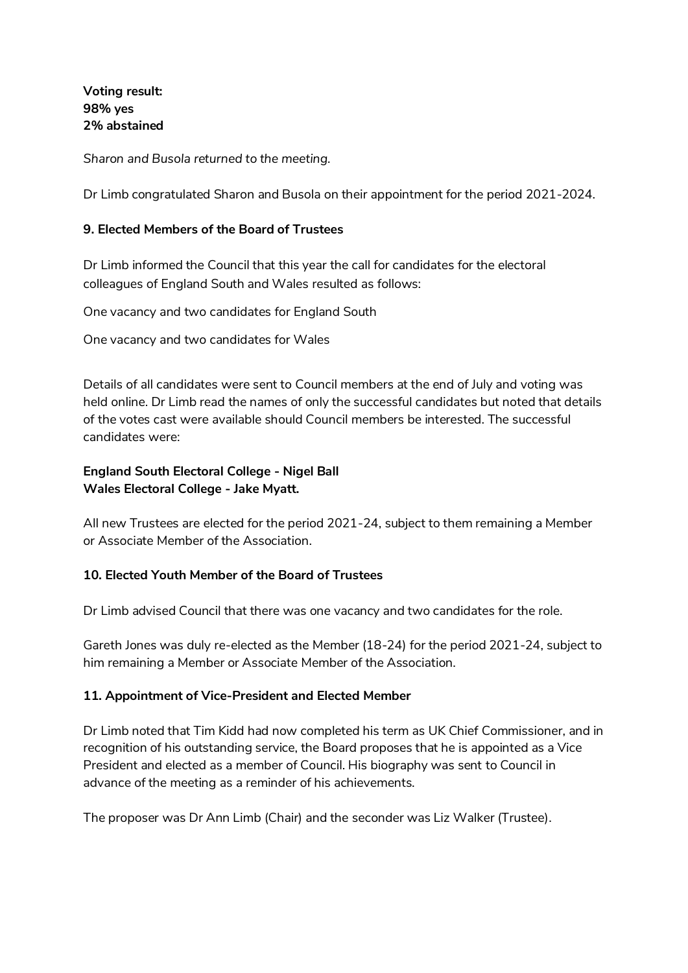**Voting result: 98% yes 2% abstained** 

*Sharon and Busola returned to the meeting.* 

Dr Limb congratulated Sharon and Busola on their appointment for the period 2021-2024.

#### **9. Elected Members of the Board of Trustees**

Dr Limb informed the Council that this year the call for candidates for the electoral colleagues of England South and Wales resulted as follows:

One vacancy and two candidates for England South

One vacancy and two candidates for Wales

Details of all candidates were sent to Council members at the end of July and voting was held online. Dr Limb read the names of only the successful candidates but noted that details of the votes cast were available should Council members be interested. The successful candidates were:

#### **England South Electoral College - Nigel Ball Wales Electoral College - Jake Myatt.**

All new Trustees are elected for the period 2021-24, subject to them remaining a Member or Associate Member of the Association.

#### **10. Elected Youth Member of the Board of Trustees**

Dr Limb advised Council that there was one vacancy and two candidates for the role.

Gareth Jones was duly re-elected as the Member (18-24) for the period 2021-24, subject to him remaining a Member or Associate Member of the Association.

#### **11. Appointment of Vice-President and Elected Member**

Dr Limb noted that Tim Kidd had now completed his term as UK Chief Commissioner, and in recognition of his outstanding service, the Board proposes that he is appointed as a Vice President and elected as a member of Council. His biography was sent to Council in advance of the meeting as a reminder of his achievements.

The proposer was Dr Ann Limb (Chair) and the seconder was Liz Walker (Trustee).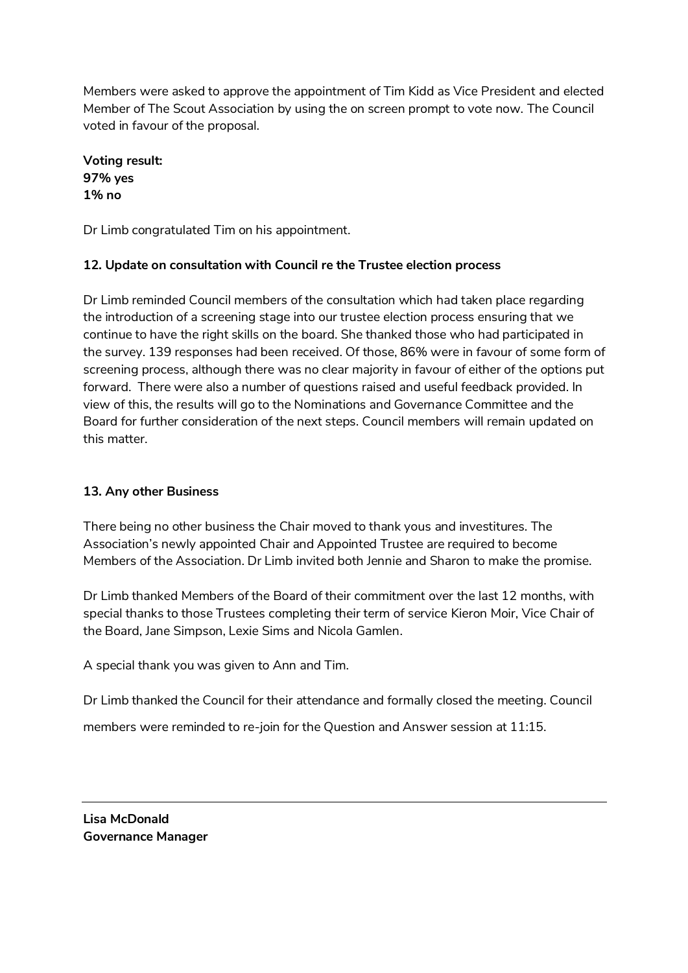Members were asked to approve the appointment of Tim Kidd as Vice President and elected Member of The Scout Association by using the on screen prompt to vote now. The Council voted in favour of the proposal.

**Voting result: 97% yes 1% no**

Dr Limb congratulated Tim on his appointment.

## **12. Update on consultation with Council re the Trustee election process**

Dr Limb reminded Council members of the consultation which had taken place regarding the introduction of a screening stage into our trustee election process ensuring that we continue to have the right skills on the board. She thanked those who had participated in the survey. 139 responses had been received. Of those, 86% were in favour of some form of screening process, although there was no clear majority in favour of either of the options put forward. There were also a number of questions raised and useful feedback provided. In view of this, the results will go to the Nominations and Governance Committee and the Board for further consideration of the next steps. Council members will remain updated on this matter.

# **13. Any other Business**

There being no other business the Chair moved to thank yous and investitures. The Association's newly appointed Chair and Appointed Trustee are required to become Members of the Association. Dr Limb invited both Jennie and Sharon to make the promise.

Dr Limb thanked Members of the Board of their commitment over the last 12 months, with special thanks to those Trustees completing their term of service Kieron Moir, Vice Chair of the Board, Jane Simpson, Lexie Sims and Nicola Gamlen.

A special thank you was given to Ann and Tim.

Dr Limb thanked the Council for their attendance and formally closed the meeting. Council members were reminded to re-join for the Question and Answer session at 11:15.

**Lisa McDonald Governance Manager**